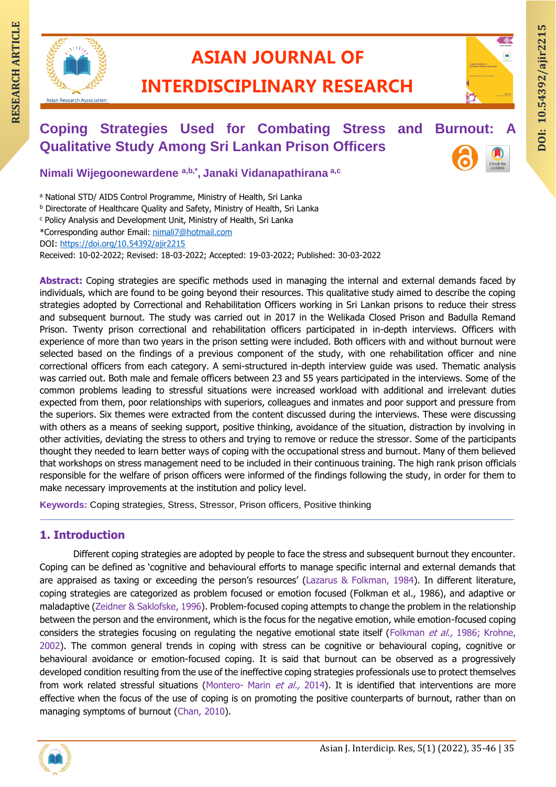

## **ASIAN JOURNAL OF**

### **INTERDISCIPLINARY RESEARCH**

# **RESEARCH ARTIAN JOURNAL OF ARTICLE INTERDISCIPLINARY RESEARCH**<br>
Coping Strategies Used for Combating Stress and Burnout: A Qualitative Study Among Sri Lankan Prison Officers **Coping Strategies Used for Combating Stress and Burnout: Qualitative Study Among Sri Lankan Prison Officers**

**Nimali Wijegoonewardene a,b,\* , Janaki Vidanapathirana a,c**

a National STD/ AIDS Control Programme, Ministry of Health, Sri Lanka

**b Directorate of Healthcare Quality and Safety, Ministry of Health, Sri Lanka** 

<sup>c</sup> Policy Analysis and Development Unit, Ministry of Health, Sri Lanka

\*Corresponding author Email: [nimali7@hotmail.com](mailto:nimali7@hotmail.com)

DOI:<https://doi.org/10.54392/ajir2215>

Received: 10-02-2022; Revised: 18-03-2022; Accepted: 19-03-2022; Published: 30-03-2022

**Abstract:** Coping strategies are specific methods used in managing the internal and external demands faced by individuals, which are found to be going beyond their resources. This qualitative study aimed to describe the coping strategies adopted by Correctional and Rehabilitation Officers working in Sri Lankan prisons to reduce their stress and subsequent burnout. The study was carried out in 2017 in the Welikada Closed Prison and Badulla Remand Prison. Twenty prison correctional and rehabilitation officers participated in in-depth interviews. Officers with experience of more than two years in the prison setting were included. Both officers with and without burnout were selected based on the findings of a previous component of the study, with one rehabilitation officer and nine correctional officers from each category. A semi-structured in-depth interview guide was used. Thematic analysis was carried out. Both male and female officers between 23 and 55 years participated in the interviews. Some of the common problems leading to stressful situations were increased workload with additional and irrelevant duties expected from them, poor relationships with superiors, colleagues and inmates and poor support and pressure from the superiors. Six themes were extracted from the content discussed during the interviews. These were discussing with others as a means of seeking support, positive thinking, avoidance of the situation, distraction by involving in other activities, deviating the stress to others and trying to remove or reduce the stressor. Some of the participants thought they needed to learn better ways of coping with the occupational stress and burnout. Many of them believed that workshops on stress management need to be included in their continuous training. The high rank prison officials responsible for the welfare of prison officers were informed of the findings following the study, in order for them to make necessary improvements at the institution and policy level.

**Keywords:** Coping strategies, Stress, Stressor, Prison officers, Positive thinking

#### **1. Introduction**

Different coping strategies are adopted by people to face the stress and subsequent burnout they encounter. Coping can be defined as 'cognitive and behavioural efforts to manage specific internal and external demands that are appraised as taxing or exceeding the person's resources' (Lazarus & Folkman, 1984). In different literature, coping strategies are categorized as problem focused or emotion focused (Folkman et al., 1986), and adaptive or maladaptive (Zeidner & Saklofske, 1996). Problem-focused coping attempts to change the problem in the relationship between the person and the environment, which is the focus for the negative emotion, while emotion-focused coping considers the strategies focusing on regulating the negative emotional state itself (Folkman et al., 1986; Krohne, 2002). The common general trends in coping with stress can be cognitive or behavioural coping, cognitive or behavioural avoidance or emotion-focused coping. It is said that burnout can be observed as a progressively developed condition resulting from the use of the ineffective coping strategies professionals use to protect themselves from work related stressful situations (Montero- Marin et al., 2014). It is identified that interventions are more effective when the focus of the use of coping is on promoting the positive counterparts of burnout, rather than on managing symptoms of burnout (Chan, 2010).

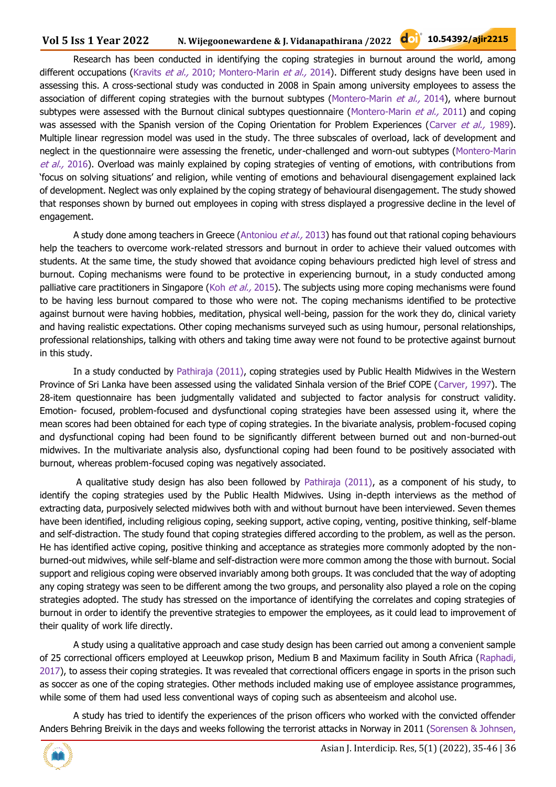Research has been conducted in identifying the coping strategies in burnout around the world, among different occupations (Kravits et al., 2010; Montero-Marin et al., 2014). Different study designs have been used in assessing this. A cross-sectional study was conducted in 2008 in Spain among university employees to assess the association of different coping strategies with the burnout subtypes (Montero-Marin et al., 2014), where burnout subtypes were assessed with the Burnout clinical subtypes questionnaire (Montero-Marin  $et$  al., 2011) and coping was assessed with the Spanish version of the Coping Orientation for Problem Experiences (Carver et al., 1989). Multiple linear regression model was used in the study. The three subscales of overload, lack of development and neglect in the questionnaire were assessing the frenetic, under-challenged and worn-out subtypes (Montero-Marin et al., 2016). Overload was mainly explained by coping strategies of venting of emotions, with contributions from 'focus on solving situations' and religion, while venting of emotions and behavioural disengagement explained lack of development. Neglect was only explained by the coping strategy of behavioural disengagement. The study showed that responses shown by burned out employees in coping with stress displayed a progressive decline in the level of engagement.

A study done among teachers in Greece (Antoniou *et al.,* 2013) has found out that rational coping behaviours help the teachers to overcome work-related stressors and burnout in order to achieve their valued outcomes with students. At the same time, the study showed that avoidance coping behaviours predicted high level of stress and burnout. Coping mechanisms were found to be protective in experiencing burnout, in a study conducted among palliative care practitioners in Singapore (Koh *et al.,* 2015). The subjects using more coping mechanisms were found to be having less burnout compared to those who were not. The coping mechanisms identified to be protective against burnout were having hobbies, meditation, physical well-being, passion for the work they do, clinical variety and having realistic expectations. Other coping mechanisms surveyed such as using humour, personal relationships, professional relationships, talking with others and taking time away were not found to be protective against burnout in this study.

In a study conducted by Pathiraja (2011), coping strategies used by Public Health Midwives in the Western Province of Sri Lanka have been assessed using the validated Sinhala version of the Brief COPE (Carver, 1997). The 28-item questionnaire has been judgmentally validated and subjected to factor analysis for construct validity. Emotion- focused, problem-focused and dysfunctional coping strategies have been assessed using it, where the mean scores had been obtained for each type of coping strategies. In the bivariate analysis, problem-focused coping and dysfunctional coping had been found to be significantly different between burned out and non-burned-out midwives. In the multivariate analysis also, dysfunctional coping had been found to be positively associated with burnout, whereas problem-focused coping was negatively associated.

A qualitative study design has also been followed by Pathiraja (2011), as a component of his study, to identify the coping strategies used by the Public Health Midwives. Using in-depth interviews as the method of extracting data, purposively selected midwives both with and without burnout have been interviewed. Seven themes have been identified, including religious coping, seeking support, active coping, venting, positive thinking, self-blame and self-distraction. The study found that coping strategies differed according to the problem, as well as the person. He has identified active coping, positive thinking and acceptance as strategies more commonly adopted by the nonburned-out midwives, while self-blame and self-distraction were more common among the those with burnout. Social support and religious coping were observed invariably among both groups. It was concluded that the way of adopting any coping strategy was seen to be different among the two groups, and personality also played a role on the coping strategies adopted. The study has stressed on the importance of identifying the correlates and coping strategies of burnout in order to identify the preventive strategies to empower the employees, as it could lead to improvement of their quality of work life directly.

A study using a qualitative approach and case study design has been carried out among a convenient sample of 25 correctional officers employed at Leeuwkop prison, Medium B and Maximum facility in South Africa (Raphadi, 2017), to assess their coping strategies. It was revealed that correctional officers engage in sports in the prison such as soccer as one of the coping strategies. Other methods included making use of employee assistance programmes, while some of them had used less conventional ways of coping such as absenteeism and alcohol use.

A study has tried to identify the experiences of the prison officers who worked with the convicted offender Anders Behring Breivik in the days and weeks following the terrorist attacks in Norway in 2011 (Sorensen & Johnsen,

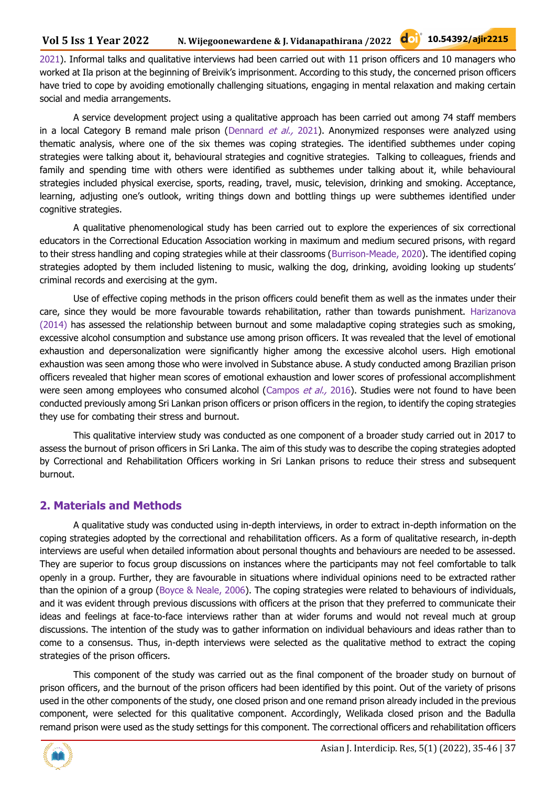2021). Informal talks and qualitative interviews had been carried out with 11 prison officers and 10 managers who worked at Ila prison at the beginning of Breivik's imprisonment. According to this study, the concerned prison officers have tried to cope by avoiding emotionally challenging situations, engaging in mental relaxation and making certain social and media arrangements.

A service development project using a qualitative approach has been carried out among 74 staff members in a local Category B remand male prison (Dennard et al., 2021). Anonymized responses were analyzed using thematic analysis, where one of the six themes was coping strategies. The identified subthemes under coping strategies were talking about it, behavioural strategies and cognitive strategies. Talking to colleagues, friends and family and spending time with others were identified as subthemes under talking about it, while behavioural strategies included physical exercise, sports, reading, travel, music, television, drinking and smoking. Acceptance, learning, adjusting one's outlook, writing things down and bottling things up were subthemes identified under cognitive strategies.

A qualitative phenomenological study has been carried out to explore the experiences of six correctional educators in the Correctional Education Association working in maximum and medium secured prisons, with regard to their stress handling and coping strategies while at their classrooms (Burrison-Meade, 2020). The identified coping strategies adopted by them included listening to music, walking the dog, drinking, avoiding looking up students' criminal records and exercising at the gym.

Use of effective coping methods in the prison officers could benefit them as well as the inmates under their care, since they would be more favourable towards rehabilitation, rather than towards punishment. Harizanova (2014) has assessed the relationship between burnout and some maladaptive coping strategies such as smoking, excessive alcohol consumption and substance use among prison officers. It was revealed that the level of emotional exhaustion and depersonalization were significantly higher among the excessive alcohol users. High emotional exhaustion was seen among those who were involved in Substance abuse. A study conducted among Brazilian prison officers revealed that higher mean scores of emotional exhaustion and lower scores of professional accomplishment were seen among employees who consumed alcohol (Campos et al., 2016). Studies were not found to have been conducted previously among Sri Lankan prison officers or prison officers in the region, to identify the coping strategies they use for combating their stress and burnout.

This qualitative interview study was conducted as one component of a broader study carried out in 2017 to assess the burnout of prison officers in Sri Lanka. The aim of this study was to describe the coping strategies adopted by Correctional and Rehabilitation Officers working in Sri Lankan prisons to reduce their stress and subsequent burnout.

#### **2. Materials and Methods**

A qualitative study was conducted using in-depth interviews, in order to extract in-depth information on the coping strategies adopted by the correctional and rehabilitation officers. As a form of qualitative research, in-depth interviews are useful when detailed information about personal thoughts and behaviours are needed to be assessed. They are superior to focus group discussions on instances where the participants may not feel comfortable to talk openly in a group. Further, they are favourable in situations where individual opinions need to be extracted rather than the opinion of a group (Boyce & Neale, 2006). The coping strategies were related to behaviours of individuals, and it was evident through previous discussions with officers at the prison that they preferred to communicate their ideas and feelings at face-to-face interviews rather than at wider forums and would not reveal much at group discussions. The intention of the study was to gather information on individual behaviours and ideas rather than to come to a consensus. Thus, in-depth interviews were selected as the qualitative method to extract the coping strategies of the prison officers.

This component of the study was carried out as the final component of the broader study on burnout of prison officers, and the burnout of the prison officers had been identified by this point. Out of the variety of prisons used in the other components of the study, one closed prison and one remand prison already included in the previous component, were selected for this qualitative component. Accordingly, Welikada closed prison and the Badulla remand prison were used as the study settings for this component. The correctional officers and rehabilitation officers

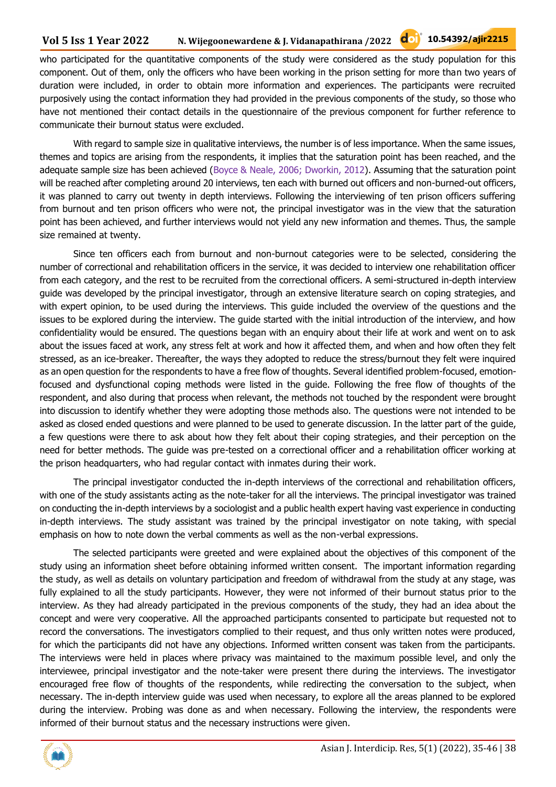#### **Vol 5 Iss 1 Year 2022 N. Wijegoonewardene & J. Vidanapathirana /2022 10.54392/ajir2215**

who participated for the quantitative components of the study were considered as the study population for this component. Out of them, only the officers who have been working in the prison setting for more than two years of duration were included, in order to obtain more information and experiences. The participants were recruited purposively using the contact information they had provided in the previous components of the study, so those who have not mentioned their contact details in the questionnaire of the previous component for further reference to communicate their burnout status were excluded.

With regard to sample size in qualitative interviews, the number is of less importance. When the same issues, themes and topics are arising from the respondents, it implies that the saturation point has been reached, and the adequate sample size has been achieved (Boyce & Neale, 2006; Dworkin, 2012). Assuming that the saturation point will be reached after completing around 20 interviews, ten each with burned out officers and non-burned-out officers, it was planned to carry out twenty in depth interviews. Following the interviewing of ten prison officers suffering from burnout and ten prison officers who were not, the principal investigator was in the view that the saturation point has been achieved, and further interviews would not yield any new information and themes. Thus, the sample size remained at twenty.

Since ten officers each from burnout and non-burnout categories were to be selected, considering the number of correctional and rehabilitation officers in the service, it was decided to interview one rehabilitation officer from each category, and the rest to be recruited from the correctional officers. A semi-structured in-depth interview guide was developed by the principal investigator, through an extensive literature search on coping strategies, and with expert opinion, to be used during the interviews. This guide included the overview of the questions and the issues to be explored during the interview. The guide started with the initial introduction of the interview, and how confidentiality would be ensured. The questions began with an enquiry about their life at work and went on to ask about the issues faced at work, any stress felt at work and how it affected them, and when and how often they felt stressed, as an ice-breaker. Thereafter, the ways they adopted to reduce the stress/burnout they felt were inquired as an open question for the respondents to have a free flow of thoughts. Several identified problem-focused, emotionfocused and dysfunctional coping methods were listed in the guide. Following the free flow of thoughts of the respondent, and also during that process when relevant, the methods not touched by the respondent were brought into discussion to identify whether they were adopting those methods also. The questions were not intended to be asked as closed ended questions and were planned to be used to generate discussion. In the latter part of the guide, a few questions were there to ask about how they felt about their coping strategies, and their perception on the need for better methods. The guide was pre-tested on a correctional officer and a rehabilitation officer working at the prison headquarters, who had regular contact with inmates during their work.

The principal investigator conducted the in-depth interviews of the correctional and rehabilitation officers, with one of the study assistants acting as the note-taker for all the interviews. The principal investigator was trained on conducting the in-depth interviews by a sociologist and a public health expert having vast experience in conducting in-depth interviews. The study assistant was trained by the principal investigator on note taking, with special emphasis on how to note down the verbal comments as well as the non-verbal expressions.

The selected participants were greeted and were explained about the objectives of this component of the study using an information sheet before obtaining informed written consent. The important information regarding the study, as well as details on voluntary participation and freedom of withdrawal from the study at any stage, was fully explained to all the study participants. However, they were not informed of their burnout status prior to the interview. As they had already participated in the previous components of the study, they had an idea about the concept and were very cooperative. All the approached participants consented to participate but requested not to record the conversations. The investigators complied to their request, and thus only written notes were produced, for which the participants did not have any objections. Informed written consent was taken from the participants. The interviews were held in places where privacy was maintained to the maximum possible level, and only the interviewee, principal investigator and the note-taker were present there during the interviews. The investigator encouraged free flow of thoughts of the respondents, while redirecting the conversation to the subject, when necessary. The in-depth interview guide was used when necessary, to explore all the areas planned to be explored during the interview. Probing was done as and when necessary. Following the interview, the respondents were informed of their burnout status and the necessary instructions were given.

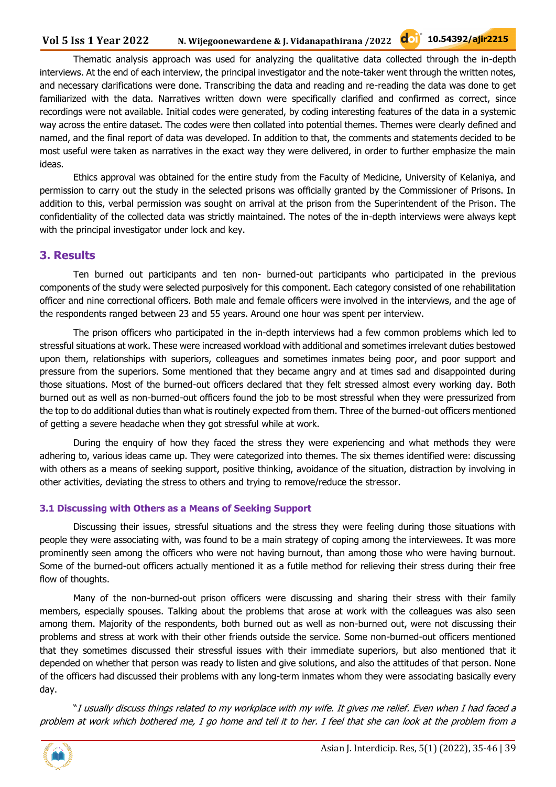Thematic analysis approach was used for analyzing the qualitative data collected through the in-depth interviews. At the end of each interview, the principal investigator and the note-taker went through the written notes, and necessary clarifications were done. Transcribing the data and reading and re-reading the data was done to get familiarized with the data. Narratives written down were specifically clarified and confirmed as correct, since recordings were not available. Initial codes were generated, by coding interesting features of the data in a systemic way across the entire dataset. The codes were then collated into potential themes. Themes were clearly defined and named, and the final report of data was developed. In addition to that, the comments and statements decided to be most useful were taken as narratives in the exact way they were delivered, in order to further emphasize the main ideas.

Ethics approval was obtained for the entire study from the Faculty of Medicine, University of Kelaniya, and permission to carry out the study in the selected prisons was officially granted by the Commissioner of Prisons. In addition to this, verbal permission was sought on arrival at the prison from the Superintendent of the Prison. The confidentiality of the collected data was strictly maintained. The notes of the in-depth interviews were always kept with the principal investigator under lock and key.

#### **3. Results**

Ten burned out participants and ten non- burned-out participants who participated in the previous components of the study were selected purposively for this component. Each category consisted of one rehabilitation officer and nine correctional officers. Both male and female officers were involved in the interviews, and the age of the respondents ranged between 23 and 55 years. Around one hour was spent per interview.

The prison officers who participated in the in-depth interviews had a few common problems which led to stressful situations at work. These were increased workload with additional and sometimes irrelevant duties bestowed upon them, relationships with superiors, colleagues and sometimes inmates being poor, and poor support and pressure from the superiors. Some mentioned that they became angry and at times sad and disappointed during those situations. Most of the burned-out officers declared that they felt stressed almost every working day. Both burned out as well as non-burned-out officers found the job to be most stressful when they were pressurized from the top to do additional duties than what is routinely expected from them. Three of the burned-out officers mentioned of getting a severe headache when they got stressful while at work.

During the enquiry of how they faced the stress they were experiencing and what methods they were adhering to, various ideas came up. They were categorized into themes. The six themes identified were: discussing with others as a means of seeking support, positive thinking, avoidance of the situation, distraction by involving in other activities, deviating the stress to others and trying to remove/reduce the stressor.

#### **3.1 Discussing with Others as a Means of Seeking Support**

Discussing their issues, stressful situations and the stress they were feeling during those situations with people they were associating with, was found to be a main strategy of coping among the interviewees. It was more prominently seen among the officers who were not having burnout, than among those who were having burnout. Some of the burned-out officers actually mentioned it as a futile method for relieving their stress during their free flow of thoughts.

Many of the non-burned-out prison officers were discussing and sharing their stress with their family members, especially spouses. Talking about the problems that arose at work with the colleagues was also seen among them. Majority of the respondents, both burned out as well as non-burned out, were not discussing their problems and stress at work with their other friends outside the service. Some non-burned-out officers mentioned that they sometimes discussed their stressful issues with their immediate superiors, but also mentioned that it depended on whether that person was ready to listen and give solutions, and also the attitudes of that person. None of the officers had discussed their problems with any long-term inmates whom they were associating basically every day.

"I usually discuss things related to my workplace with my wife. It gives me relief. Even when I had faced a problem at work which bothered me, I go home and tell it to her. I feel that she can look at the problem from a

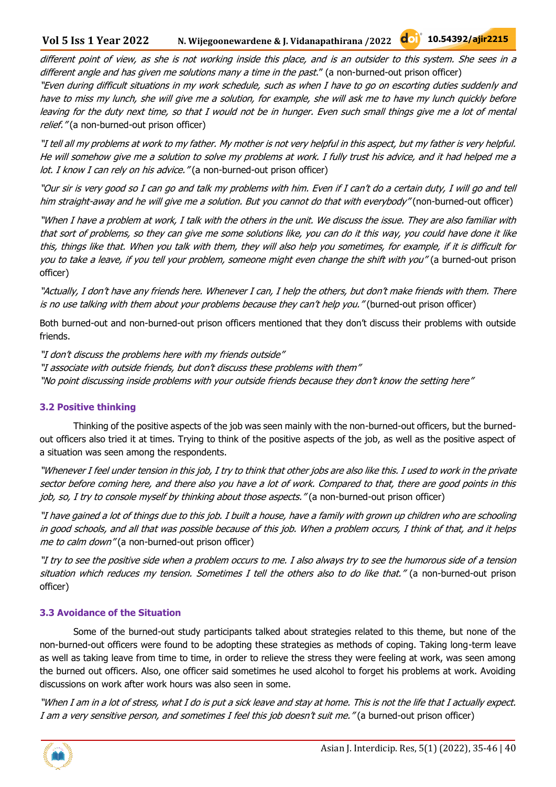#### **Vol 5 Iss 1 Year 2022 N. Wijegoonewardene & J. Vidanapathirana /2022 10.54392/ajir2215**

different point of view, as she is not working inside this place, and is an outsider to this system. She sees in a different angle and has given me solutions many a time in the past." (a non-burned-out prison officer)

"Even during difficult situations in my work schedule, such as when I have to go on escorting duties suddenly and have to miss my lunch, she will give me a solution, for example, she will ask me to have my lunch quickly before leaving for the duty next time, so that I would not be in hunger. Even such small things give me a lot of mental relief." (a non-burned-out prison officer)

"I tell all my problems at work to my father. My mother is not very helpful in this aspect, but my father is very helpful. He will somehow give me a solution to solve my problems at work. I fully trust his advice, and it had helped me a lot. I know I can rely on his advice." (a non-burned-out prison officer)

"Our sir is very good so I can go and talk my problems with him. Even if I can't do a certain duty, I will go and tell him straight-away and he will give me a solution. But you cannot do that with everybody" (non-burned-out officer)

"When I have a problem at work, I talk with the others in the unit. We discuss the issue. They are also familiar with that sort of problems, so they can give me some solutions like, you can do it this way, you could have done it like this, things like that. When you talk with them, they will also help you sometimes, for example, if it is difficult for you to take a leave, if you tell your problem, someone might even change the shift with you" (a burned-out prison officer)

"Actually, I don't have any friends here. Whenever I can, I help the others, but don't make friends with them. There is no use talking with them about your problems because they can't help you." (burned-out prison officer)

Both burned-out and non-burned-out prison officers mentioned that they don't discuss their problems with outside friends.

"I don't discuss the problems here with my friends outside" "I associate with outside friends, but don't discuss these problems with them" "No point discussing inside problems with your outside friends because they don't know the setting here"

#### **3.2 Positive thinking**

Thinking of the positive aspects of the job was seen mainly with the non-burned-out officers, but the burnedout officers also tried it at times. Trying to think of the positive aspects of the job, as well as the positive aspect of a situation was seen among the respondents.

"Whenever I feel under tension in this job, I try to think that other jobs are also like this. I used to work in the private sector before coming here, and there also you have a lot of work. Compared to that, there are good points in this job, so, I try to console myself by thinking about those aspects." (a non-burned-out prison officer)

"I have gained a lot of things due to this job. I built a house, have a family with grown up children who are schooling in good schools, and all that was possible because of this job. When a problem occurs, I think of that, and it helps me to calm down" (a non-burned-out prison officer)

"I try to see the positive side when a problem occurs to me. I also always try to see the humorous side of a tension situation which reduces my tension. Sometimes I tell the others also to do like that." (a non-burned-out prison officer)

#### **3.3 Avoidance of the Situation**

Some of the burned-out study participants talked about strategies related to this theme, but none of the non-burned-out officers were found to be adopting these strategies as methods of coping. Taking long-term leave as well as taking leave from time to time, in order to relieve the stress they were feeling at work, was seen among the burned out officers. Also, one officer said sometimes he used alcohol to forget his problems at work. Avoiding discussions on work after work hours was also seen in some.

"When I am in a lot of stress, what I do is put a sick leave and stay at home. This is not the life that I actually expect. I am a very sensitive person, and sometimes I feel this job doesn't suit me." (a burned-out prison officer)

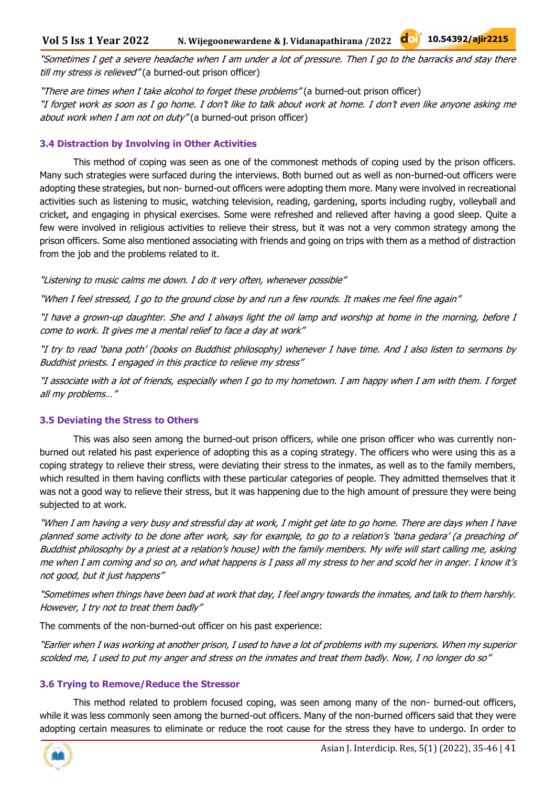"Sometimes I get a severe headache when I am under a lot of pressure. Then I go to the barracks and stay there till my stress is relieved" (a burned-out prison officer)

"There are times when I take alcohol to forget these problems" (a burned-out prison officer) "I forget work as soon as I go home. I don't like to talk about work at home. I don't even like anyone asking me about work when I am not on duty" (a burned-out prison officer)

#### **3.4 Distraction by Involving in Other Activities**

This method of coping was seen as one of the commonest methods of coping used by the prison officers. Many such strategies were surfaced during the interviews. Both burned out as well as non-burned-out officers were adopting these strategies, but non- burned-out officers were adopting them more. Many were involved in recreational activities such as listening to music, watching television, reading, gardening, sports including rugby, volleyball and cricket, and engaging in physical exercises. Some were refreshed and relieved after having a good sleep. Quite a few were involved in religious activities to relieve their stress, but it was not a very common strategy among the prison officers. Some also mentioned associating with friends and going on trips with them as a method of distraction from the job and the problems related to it.

"Listening to music calms me down. I do it very often, whenever possible"

"When I feel stressed, I go to the ground close by and run a few rounds. It makes me feel fine again"

"I have a grown-up daughter. She and I always light the oil lamp and worship at home in the morning, before I come to work. It gives me a mental relief to face a day at work"

"I try to read 'bana poth' (books on Buddhist philosophy) whenever I have time. And I also listen to sermons by Buddhist priests. I engaged in this practice to relieve my stress"

"I associate with a lot of friends, especially when I go to my hometown. I am happy when I am with them. I forget all my problems…"

#### **3.5 Deviating the Stress to Others**

This was also seen among the burned-out prison officers, while one prison officer who was currently nonburned out related his past experience of adopting this as a coping strategy. The officers who were using this as a coping strategy to relieve their stress, were deviating their stress to the inmates, as well as to the family members, which resulted in them having conflicts with these particular categories of people. They admitted themselves that it was not a good way to relieve their stress, but it was happening due to the high amount of pressure they were being subjected to at work.

"When I am having a very busy and stressful day at work, I might get late to go home. There are days when I have planned some activity to be done after work, say for example, to go to a relation's 'bana gedara' (a preaching of Buddhist philosophy by a priest at a relation's house) with the family members. My wife will start calling me, asking me when I am coming and so on, and what happens is I pass all my stress to her and scold her in anger. I know it's not good, but it just happens"

"Sometimes when things have been bad at work that day, I feel angry towards the inmates, and talk to them harshly. However, I try not to treat them badly"

The comments of the non-burned-out officer on his past experience:

"Earlier when I was working at another prison, I used to have a lot of problems with my superiors. When my superior scolded me, I used to put my anger and stress on the inmates and treat them badly. Now, I no longer do so"

#### **3.6 Trying to Remove/Reduce the Stressor**

This method related to problem focused coping, was seen among many of the non- burned-out officers, while it was less commonly seen among the burned-out officers. Many of the non-burned officers said that they were adopting certain measures to eliminate or reduce the root cause for the stress they have to undergo. In order to

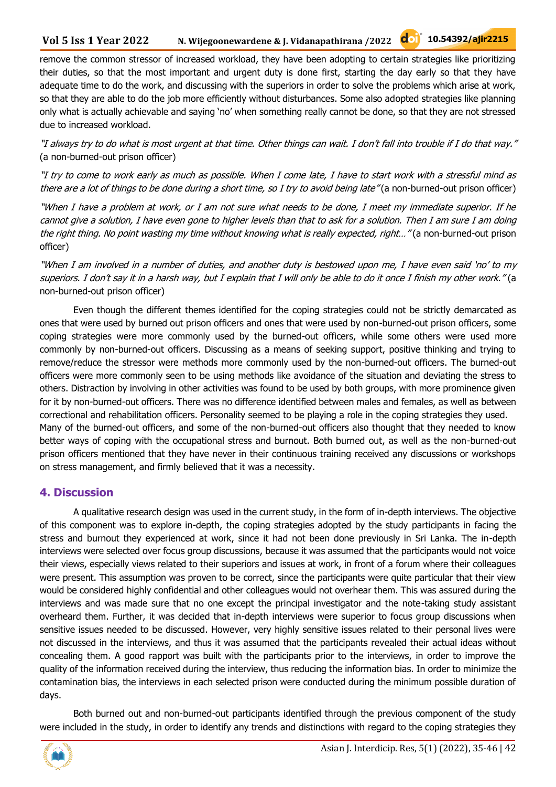remove the common stressor of increased workload, they have been adopting to certain strategies like prioritizing their duties, so that the most important and urgent duty is done first, starting the day early so that they have adequate time to do the work, and discussing with the superiors in order to solve the problems which arise at work, so that they are able to do the job more efficiently without disturbances. Some also adopted strategies like planning only what is actually achievable and saying 'no' when something really cannot be done, so that they are not stressed due to increased workload.

"I always try to do what is most urgent at that time. Other things can wait. I don't fall into trouble if I do that way." (a non-burned-out prison officer)

"I try to come to work early as much as possible. When I come late, I have to start work with a stressful mind as there are a lot of things to be done during a short time, so I try to avoid being late" (a non-burned-out prison officer)

"When I have a problem at work, or I am not sure what needs to be done, I meet my immediate superior. If he cannot give a solution, I have even gone to higher levels than that to ask for a solution. Then I am sure I am doing the right thing. No point wasting my time without knowing what is really expected, right..." (a non-burned-out prison officer)

"When I am involved in a number of duties, and another duty is bestowed upon me, I have even said 'no' to my superiors. I don't say it in a harsh way, but I explain that I will only be able to do it once I finish my other work." (a non-burned-out prison officer)

Even though the different themes identified for the coping strategies could not be strictly demarcated as ones that were used by burned out prison officers and ones that were used by non-burned-out prison officers, some coping strategies were more commonly used by the burned-out officers, while some others were used more commonly by non-burned-out officers. Discussing as a means of seeking support, positive thinking and trying to remove/reduce the stressor were methods more commonly used by the non-burned-out officers. The burned-out officers were more commonly seen to be using methods like avoidance of the situation and deviating the stress to others. Distraction by involving in other activities was found to be used by both groups, with more prominence given for it by non-burned-out officers. There was no difference identified between males and females, as well as between correctional and rehabilitation officers. Personality seemed to be playing a role in the coping strategies they used. Many of the burned-out officers, and some of the non-burned-out officers also thought that they needed to know better ways of coping with the occupational stress and burnout. Both burned out, as well as the non-burned-out prison officers mentioned that they have never in their continuous training received any discussions or workshops

#### **4. Discussion**

on stress management, and firmly believed that it was a necessity.

A qualitative research design was used in the current study, in the form of in-depth interviews. The objective of this component was to explore in-depth, the coping strategies adopted by the study participants in facing the stress and burnout they experienced at work, since it had not been done previously in Sri Lanka. The in-depth interviews were selected over focus group discussions, because it was assumed that the participants would not voice their views, especially views related to their superiors and issues at work, in front of a forum where their colleagues were present. This assumption was proven to be correct, since the participants were quite particular that their view would be considered highly confidential and other colleagues would not overhear them. This was assured during the interviews and was made sure that no one except the principal investigator and the note-taking study assistant overheard them. Further, it was decided that in-depth interviews were superior to focus group discussions when sensitive issues needed to be discussed. However, very highly sensitive issues related to their personal lives were not discussed in the interviews, and thus it was assumed that the participants revealed their actual ideas without concealing them. A good rapport was built with the participants prior to the interviews, in order to improve the quality of the information received during the interview, thus reducing the information bias. In order to minimize the contamination bias, the interviews in each selected prison were conducted during the minimum possible duration of days.

Both burned out and non-burned-out participants identified through the previous component of the study were included in the study, in order to identify any trends and distinctions with regard to the coping strategies they

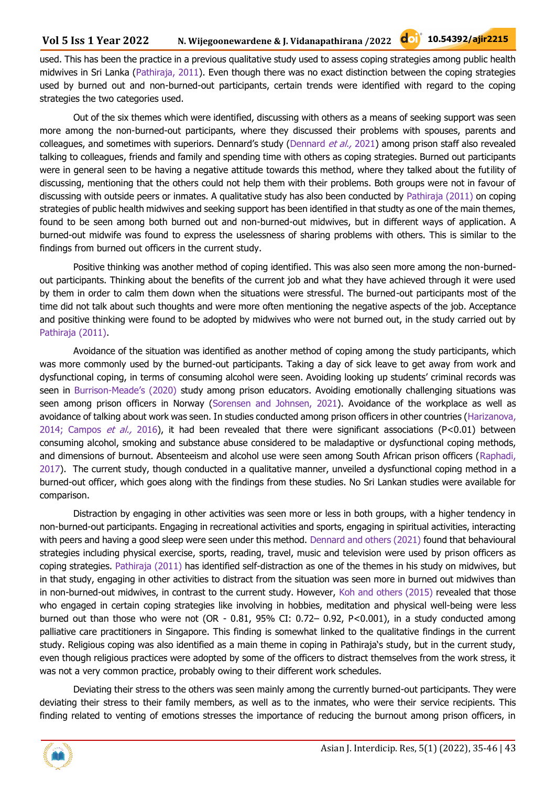used. This has been the practice in a previous qualitative study used to assess coping strategies among public health midwives in Sri Lanka (Pathiraja, 2011). Even though there was no exact distinction between the coping strategies used by burned out and non-burned-out participants, certain trends were identified with regard to the coping strategies the two categories used.

Out of the six themes which were identified, discussing with others as a means of seeking support was seen more among the non-burned-out participants, where they discussed their problems with spouses, parents and colleagues, and sometimes with superiors. Dennard's study (Dennard et al., 2021) among prison staff also revealed talking to colleagues, friends and family and spending time with others as coping strategies. Burned out participants were in general seen to be having a negative attitude towards this method, where they talked about the futility of discussing, mentioning that the others could not help them with their problems. Both groups were not in favour of discussing with outside peers or inmates. A qualitative study has also been conducted by Pathiraja (2011) on coping strategies of public health midwives and seeking support has been identified in that studty as one of the main themes, found to be seen among both burned out and non-burned-out midwives, but in different ways of application. A burned-out midwife was found to express the uselessness of sharing problems with others. This is similar to the findings from burned out officers in the current study.

Positive thinking was another method of coping identified. This was also seen more among the non-burnedout participants. Thinking about the benefits of the current job and what they have achieved through it were used by them in order to calm them down when the situations were stressful. The burned-out participants most of the time did not talk about such thoughts and were more often mentioning the negative aspects of the job. Acceptance and positive thinking were found to be adopted by midwives who were not burned out, in the study carried out by Pathiraja (2011).

Avoidance of the situation was identified as another method of coping among the study participants, which was more commonly used by the burned-out participants. Taking a day of sick leave to get away from work and dysfunctional coping, in terms of consuming alcohol were seen. Avoiding looking up students' criminal records was seen in Burrison-Meade's (2020) study among prison educators. Avoiding emotionally challenging situations was seen among prison officers in Norway (Sorensen and Johnsen, 2021). Avoidance of the workplace as well as avoidance of talking about work was seen. In studies conducted among prison officers in other countries (Harizanova, 2014; Campos et al., 2016), it had been revealed that there were significant associations (P<0.01) between consuming alcohol, smoking and substance abuse considered to be maladaptive or dysfunctional coping methods, and dimensions of burnout. Absenteeism and alcohol use were seen among South African prison officers (Raphadi, 2017). The current study, though conducted in a qualitative manner, unveiled a dysfunctional coping method in a burned-out officer, which goes along with the findings from these studies. No Sri Lankan studies were available for comparison.

Distraction by engaging in other activities was seen more or less in both groups, with a higher tendency in non-burned-out participants. Engaging in recreational activities and sports, engaging in spiritual activities, interacting with peers and having a good sleep were seen under this method. Dennard and others (2021) found that behavioural strategies including physical exercise, sports, reading, travel, music and television were used by prison officers as coping strategies. Pathiraja (2011) has identified self-distraction as one of the themes in his study on midwives, but in that study, engaging in other activities to distract from the situation was seen more in burned out midwives than in non-burned-out midwives, in contrast to the current study. However, Koh and others (2015) revealed that those who engaged in certain coping strategies like involving in hobbies, meditation and physical well-being were less burned out than those who were not (OR - 0.81, 95% CI: 0.72– 0.92, P<0.001), in a study conducted among palliative care practitioners in Singapore. This finding is somewhat linked to the qualitative findings in the current study. Religious coping was also identified as a main theme in coping in Pathiraja's study, but in the current study, even though religious practices were adopted by some of the officers to distract themselves from the work stress, it was not a very common practice, probably owing to their different work schedules.

Deviating their stress to the others was seen mainly among the currently burned-out participants. They were deviating their stress to their family members, as well as to the inmates, who were their service recipients. This finding related to venting of emotions stresses the importance of reducing the burnout among prison officers, in

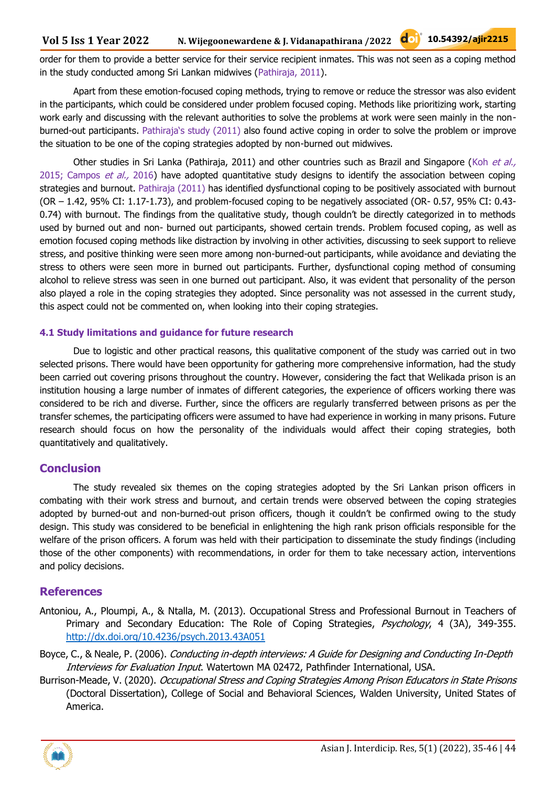order for them to provide a better service for their service recipient inmates. This was not seen as a coping method in the study conducted among Sri Lankan midwives (Pathiraja, 2011).

Apart from these emotion-focused coping methods, trying to remove or reduce the stressor was also evident in the participants, which could be considered under problem focused coping. Methods like prioritizing work, starting work early and discussing with the relevant authorities to solve the problems at work were seen mainly in the nonburned-out participants. Pathiraja's study (2011) also found active coping in order to solve the problem or improve the situation to be one of the coping strategies adopted by non-burned out midwives.

Other studies in Sri Lanka (Pathiraja, 2011) and other countries such as Brazil and Singapore (Koh et al., 2015; Campos et al., 2016) have adopted quantitative study designs to identify the association between coping strategies and burnout. Pathiraja (2011) has identified dysfunctional coping to be positively associated with burnout (OR – 1.42, 95% CI: 1.17-1.73), and problem-focused coping to be negatively associated (OR- 0.57, 95% CI: 0.43- 0.74) with burnout. The findings from the qualitative study, though couldn't be directly categorized in to methods used by burned out and non- burned out participants, showed certain trends. Problem focused coping, as well as emotion focused coping methods like distraction by involving in other activities, discussing to seek support to relieve stress, and positive thinking were seen more among non-burned-out participants, while avoidance and deviating the stress to others were seen more in burned out participants. Further, dysfunctional coping method of consuming alcohol to relieve stress was seen in one burned out participant. Also, it was evident that personality of the person also played a role in the coping strategies they adopted. Since personality was not assessed in the current study, this aspect could not be commented on, when looking into their coping strategies.

#### **4.1 Study limitations and guidance for future research**

Due to logistic and other practical reasons, this qualitative component of the study was carried out in two selected prisons. There would have been opportunity for gathering more comprehensive information, had the study been carried out covering prisons throughout the country. However, considering the fact that Welikada prison is an institution housing a large number of inmates of different categories, the experience of officers working there was considered to be rich and diverse. Further, since the officers are regularly transferred between prisons as per the transfer schemes, the participating officers were assumed to have had experience in working in many prisons. Future research should focus on how the personality of the individuals would affect their coping strategies, both quantitatively and qualitatively.

#### **Conclusion**

The study revealed six themes on the coping strategies adopted by the Sri Lankan prison officers in combating with their work stress and burnout, and certain trends were observed between the coping strategies adopted by burned-out and non-burned-out prison officers, though it couldn't be confirmed owing to the study design. This study was considered to be beneficial in enlightening the high rank prison officials responsible for the welfare of the prison officers. A forum was held with their participation to disseminate the study findings (including those of the other components) with recommendations, in order for them to take necessary action, interventions and policy decisions.

#### **References**

- Antoniou, A., Ploumpi, A., & Ntalla, M. (2013). Occupational Stress and Professional Burnout in Teachers of Primary and Secondary Education: The Role of Coping Strategies, Psychology, 4 (3A), 349-355. <http://dx.doi.org/10.4236/psych.2013.43A051>
- Boyce, C., & Neale, P. (2006). Conducting in-depth interviews: A Guide for Designing and Conducting In-Depth Interviews for Evaluation Input. Watertown MA 02472, Pathfinder International, USA.
- Burrison-Meade, V. (2020). Occupational Stress and Coping Strategies Among Prison Educators in State Prisons (Doctoral Dissertation), College of Social and Behavioral Sciences, Walden University, United States of America.

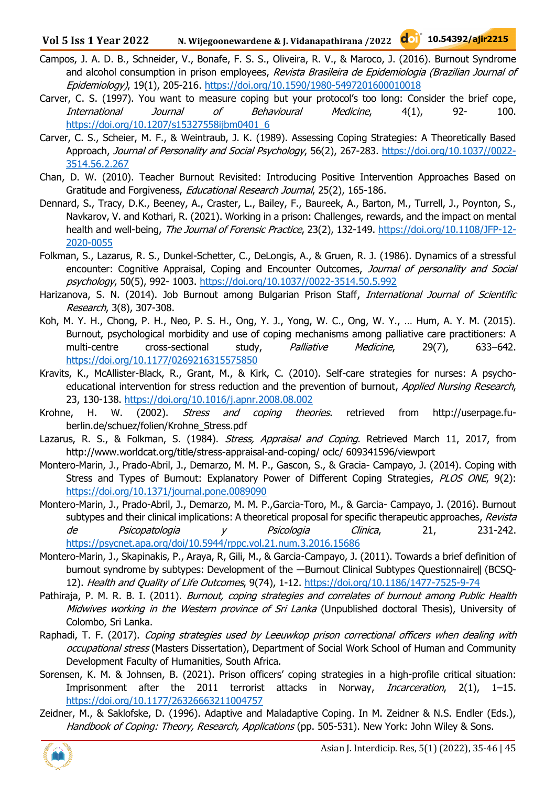- Campos, J. A. D. B., Schneider, V., Bonafe, F. S. S., Oliveira, R. V., & Maroco, J. (2016). Burnout Syndrome and alcohol consumption in prison employees, Revista Brasileira de Epidemiologia (Brazilian Journal of Epidemiology), 19(1), 205-216. <https://doi.org/10.1590/1980-5497201600010018>
- Carver, C. S. (1997). You want to measure coping but your protocol's too long: Consider the brief cope, International Journal of Behavioural Medicine, 4(1), 92- 100. [https://doi.org/10.1207/s15327558ijbm0401\\_6](https://doi.org/10.1207/s15327558ijbm0401_6)
- Carver, C. S., Scheier, M. F., & Weintraub, J. K. (1989). Assessing Coping Strategies: A Theoretically Based Approach, Journal of Personality and Social Psychology, 56(2), 267-283. [https://doi.org/10.1037//0022-](https://doi.org/10.1037/0022-3514.56.2.267) [3514.56.2.267](https://doi.org/10.1037/0022-3514.56.2.267)
- Chan, D. W. (2010). Teacher Burnout Revisited: Introducing Positive Intervention Approaches Based on Gratitude and Forgiveness, Educational Research Journal, 25(2), 165-186.
- Dennard, S., Tracy, D.K., Beeney, A., Craster, L., Bailey, F., Baureek, A., Barton, M., Turrell, J., Poynton, S., Navkarov, V. and Kothari, R. (2021). Working in a prison: Challenges, rewards, and the impact on mental health and well-being, The Journal of Forensic Practice, 23(2), 132-149. [https://doi.org/10.1108/JFP-12-](https://doi.org/10.1108/JFP-12-2020-0055) [2020-0055](https://doi.org/10.1108/JFP-12-2020-0055)
- Folkman, S., Lazarus, R. S., Dunkel-Schetter, C., DeLongis, A., & Gruen, R. J. (1986). Dynamics of a stressful encounter: Cognitive Appraisal, Coping and Encounter Outcomes, Journal of personality and Social psychology, 50(5), 992- 1003. [https://doi.org/10.1037//0022-3514.50.5.992](https://doi.org/10.1037/0022-3514.50.5.992)
- Harizanova, S. N. (2014). Job Burnout among Bulgarian Prison Staff, International Journal of Scientific Research, 3(8), 307-308.
- Koh, M. Y. H., Chong, P. H., Neo, P. S. H., Ong, Y. J., Yong, W. C., Ong, W. Y., … Hum, A. Y. M. (2015). Burnout, psychological morbidity and use of coping mechanisms among palliative care practitioners: A multi-centre cross-sectional study, *Palliative Medicine*, 29(7), 633–642. <https://doi.org/10.1177/0269216315575850>
- Kravits, K., McAllister-Black, R., Grant, M., & Kirk, C. (2010). Self-care strategies for nurses: A psychoeducational intervention for stress reduction and the prevention of burnout, Applied Nursing Research, 23, 130-138. <https://doi.org/10.1016/j.apnr.2008.08.002>
- Krohne, H. W. (2002). Stress and coping theories. retrieved from http://userpage.fuberlin.de/schuez/folien/Krohne\_Stress.pdf
- Lazarus, R. S., & Folkman, S. (1984). Stress, Appraisal and Coping. Retrieved March 11, 2017, from http://www.worldcat.org/title/stress-appraisal-and-coping/ oclc/ 609341596/viewport
- Montero-Marin, J., Prado-Abril, J., Demarzo, M. M. P., Gascon, S., & Gracia- Campayo, J. (2014). Coping with Stress and Types of Burnout: Explanatory Power of Different Coping Strategies, PLOS ONE, 9(2): <https://doi.org/10.1371/journal.pone.0089090>
- Montero-Marin, J., Prado-Abril, J., Demarzo, M. M. P.,Garcia-Toro, M., & Garcia- Campayo, J. (2016). Burnout subtypes and their clinical implications: A theoretical proposal for specific therapeutic approaches, Revista de Psicopatologia y Psicologia Clinica, 21, 231-242. <https://psycnet.apa.org/doi/10.5944/rppc.vol.21.num.3.2016.15686>
- Montero-Marin, J., Skapinakis, P., Araya, R, Gili, M., & Garcia-Campayo, J. (2011). Towards a brief definition of burnout syndrome by subtypes: Development of the -Burnout Clinical Subtypes Questionnaire|| (BCSQ-12). Health and Quality of Life Outcomes, 9(74), 1-12. <https://doi.org/10.1186/1477-7525-9-74>
- Pathiraja, P. M. R. B. I. (2011). Burnout, coping strategies and correlates of burnout among Public Health Midwives working in the Western province of Sri Lanka (Unpublished doctoral Thesis), University of Colombo, Sri Lanka.
- Raphadi, T. F. (2017). Coping strategies used by Leeuwkop prison correctional officers when dealing with occupational stress (Masters Dissertation), Department of Social Work School of Human and Community Development Faculty of Humanities, South Africa.
- Sorensen, K. M. & Johnsen, B. (2021). Prison officers' coping strategies in a high-profile critical situation: Imprisonment after the 2011 terrorist attacks in Norway, *Incarceration*, 2(1), 1-15. <https://doi.org/10.1177/26326663211004757>
- Zeidner, M., & Saklofske, D. (1996). Adaptive and Maladaptive Coping. In M. Zeidner & N.S. Endler (Eds.), Handbook of Coping: Theory, Research, Applications (pp. 505-531). New York: John Wiley & Sons.